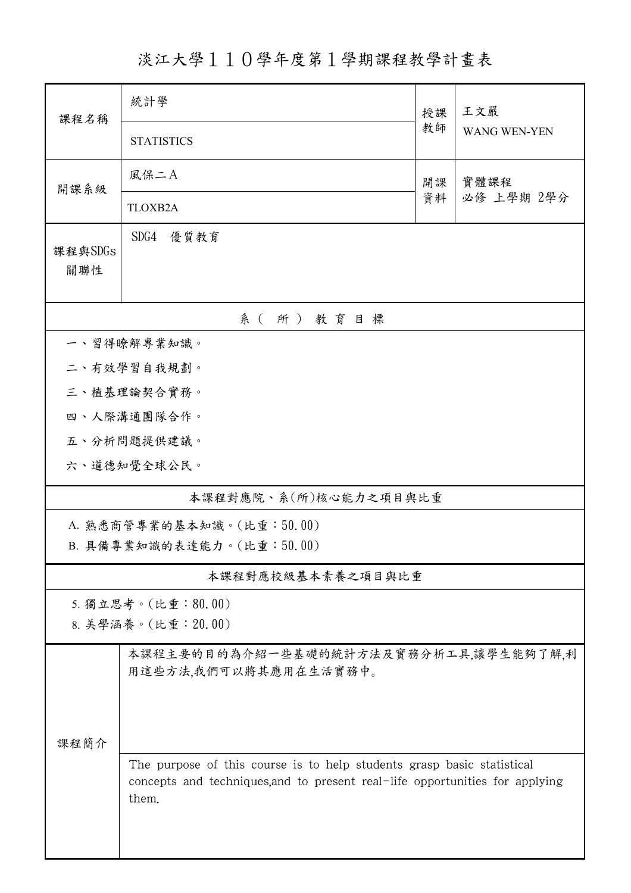淡江大學110學年度第1學期課程教學計畫表

| 課程名稱                      | 統計學                                                                                                                                                             | 授課         | 王文嚴                 |  |  |  |  |  |
|---------------------------|-----------------------------------------------------------------------------------------------------------------------------------------------------------------|------------|---------------------|--|--|--|--|--|
|                           | <b>STATISTICS</b>                                                                                                                                               | 教師         | <b>WANG WEN-YEN</b> |  |  |  |  |  |
| 開課系級                      | 風保二A                                                                                                                                                            | 實體課程       |                     |  |  |  |  |  |
|                           | <b>TLOXB2A</b>                                                                                                                                                  | 必修 上學期 2學分 |                     |  |  |  |  |  |
| 課程與SDGs<br>關聯性            | SDG4<br>優質教育                                                                                                                                                    |            |                     |  |  |  |  |  |
| 系(所)教育目標                  |                                                                                                                                                                 |            |                     |  |  |  |  |  |
| 一、習得瞭解專業知識。               |                                                                                                                                                                 |            |                     |  |  |  |  |  |
|                           | 二、有效學習自我規劃。                                                                                                                                                     |            |                     |  |  |  |  |  |
| 三、植基理論契合實務。               |                                                                                                                                                                 |            |                     |  |  |  |  |  |
|                           | 四、人際溝通團隊合作。                                                                                                                                                     |            |                     |  |  |  |  |  |
|                           | 五、分析問題提供建議。                                                                                                                                                     |            |                     |  |  |  |  |  |
|                           | 六、道德知覺全球公民。                                                                                                                                                     |            |                     |  |  |  |  |  |
| 本課程對應院、系(所)核心能力之項目與比重     |                                                                                                                                                                 |            |                     |  |  |  |  |  |
| A. 熟悉商管專業的基本知識。(比重:50.00) |                                                                                                                                                                 |            |                     |  |  |  |  |  |
| B. 具備專業知識的表達能力。(比重:50.00) |                                                                                                                                                                 |            |                     |  |  |  |  |  |
| 本課程對應校級基本素養之項目與比重         |                                                                                                                                                                 |            |                     |  |  |  |  |  |
| 5. 獨立思考。(比重:80.00)        |                                                                                                                                                                 |            |                     |  |  |  |  |  |
| 8. 美學涵養。(比重: 20.00)       |                                                                                                                                                                 |            |                     |  |  |  |  |  |
| 課程簡介                      | 本課程主要的目的為介紹一些基礎的統計方法及實務分析工具,讓學生能夠了解,利<br>用這些方法,我們可以將其應用在生活實務中。                                                                                                  |            |                     |  |  |  |  |  |
|                           |                                                                                                                                                                 |            |                     |  |  |  |  |  |
|                           |                                                                                                                                                                 |            |                     |  |  |  |  |  |
|                           | The purpose of this course is to help students grasp basic statistical<br>concepts and techniques, and to present real-life opportunities for applying<br>them. |            |                     |  |  |  |  |  |
|                           |                                                                                                                                                                 |            |                     |  |  |  |  |  |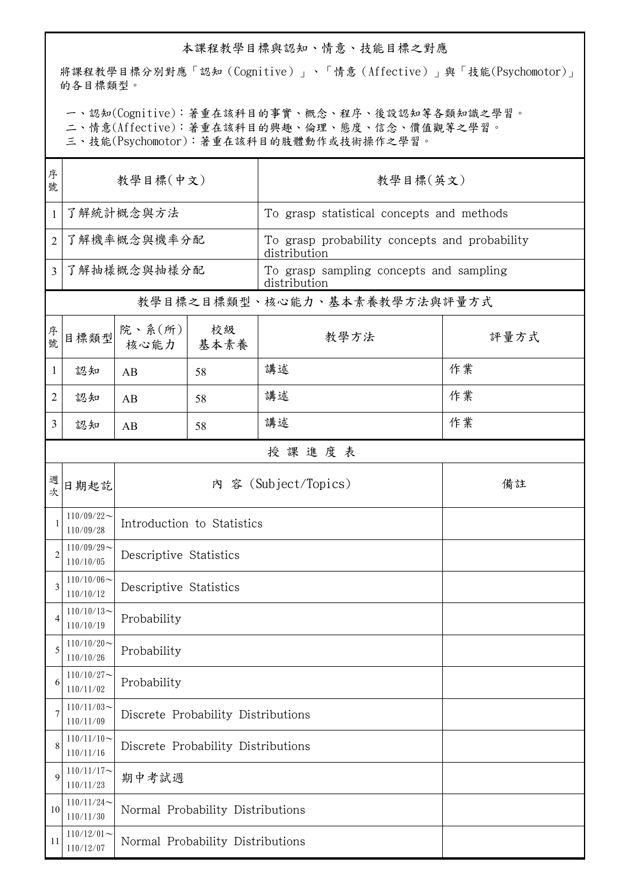## 本課程教學目標與認知、情意、技能目標之對應

將課程教學目標分別對應「認知(Cognitive)」、「情意(Affective)」與「技能(Psychomotor)」 的各目標類型。

一、認知(Cognitive):著重在該科目的事實、概念、程序、後設認知等各類知識之學習。

二、情意(Affective):著重在該科目的興趣、倫理、態度、信念、價值觀等之學習。

三、技能(Psychomotor):著重在該科目的肢體動作或技術操作之學習。

| 序<br>號         | 教學目標(中文)                     |                                    |            | 教學目標(英文)                                                      |      |  |  |  |
|----------------|------------------------------|------------------------------------|------------|---------------------------------------------------------------|------|--|--|--|
| $\mathbf{1}$   | 了解統計概念與方法                    |                                    |            | To grasp statistical concepts and methods                     |      |  |  |  |
| $\overline{2}$ | 了解機率概念與機率分配                  |                                    |            | To grasp probability concepts and probability<br>distribution |      |  |  |  |
| 3              | 了解抽樣概念與抽樣分配                  |                                    |            | To grasp sampling concepts and sampling<br>distribution       |      |  |  |  |
|                | 教學目標之目標類型、核心能力、基本素養教學方法與評量方式 |                                    |            |                                                               |      |  |  |  |
| 序號             | 目標類型                         | 院、系 $(\text{m})$<br>核心能力           | 校級<br>基本素養 | 教學方法                                                          | 評量方式 |  |  |  |
| $\mathbf{1}$   | 認知                           | AB                                 | 58         | 講述                                                            | 作業   |  |  |  |
| 2              | 認知                           | AB                                 | 58         | 講述                                                            | 作業   |  |  |  |
| 3              | 認知                           | AB                                 | 58         | 講述                                                            | 作業   |  |  |  |
|                | 授課進度表                        |                                    |            |                                                               |      |  |  |  |
| 週次             | 日期起訖                         |                                    |            | 內 容 (Subject/Topics)                                          | 備註   |  |  |  |
| 1              | $110/09/22$ ~<br>110/09/28   | Introduction to Statistics         |            |                                                               |      |  |  |  |
| $\overline{2}$ | $110/09/29$ ~<br>110/10/05   | Descriptive Statistics             |            |                                                               |      |  |  |  |
| 3              | $110/10/06$ ~<br>110/10/12   | Descriptive Statistics             |            |                                                               |      |  |  |  |
| 4              | $110/10/13$ ~<br>110/10/19   | Probability                        |            |                                                               |      |  |  |  |
| 5              | $110/10/20$ ~<br>110/10/26   | Probability                        |            |                                                               |      |  |  |  |
| 6              | $110/10/27$ ~<br>110/11/02   | Probability                        |            |                                                               |      |  |  |  |
| 7              | $110/11/03$ ~<br>110/11/09   | Discrete Probability Distributions |            |                                                               |      |  |  |  |
| 8              | $110/11/10$ ~<br>110/11/16   | Discrete Probability Distributions |            |                                                               |      |  |  |  |
| 9              | $110/11/17$ ~<br>110/11/23   | 期中考試週                              |            |                                                               |      |  |  |  |
| 10             | $110/11/24$ ~<br>110/11/30   | Normal Probability Distributions   |            |                                                               |      |  |  |  |
| 11             | $110/12/01$ ~<br>110/12/07   | Normal Probability Distributions   |            |                                                               |      |  |  |  |